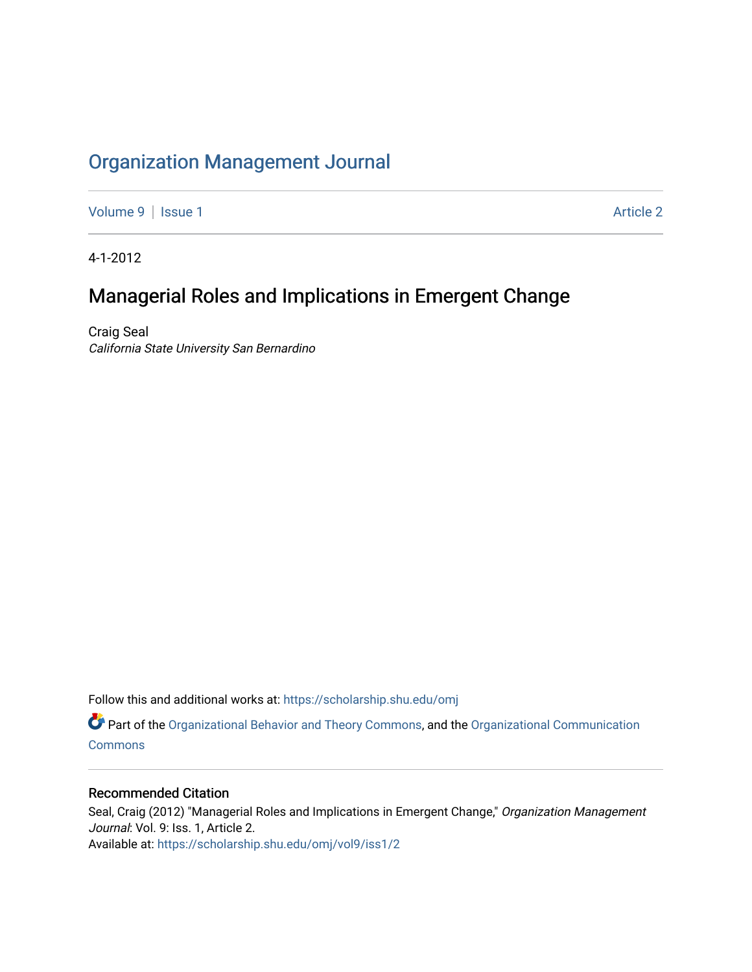# [Organization Management Journal](https://scholarship.shu.edu/omj)

[Volume 9](https://scholarship.shu.edu/omj/vol9) | [Issue 1](https://scholarship.shu.edu/omj/vol9/iss1) Article 2

4-1-2012

## Managerial Roles and Implications in Emergent Change

Craig Seal California State University San Bernardino

Follow this and additional works at: [https://scholarship.shu.edu/omj](https://scholarship.shu.edu/omj?utm_source=scholarship.shu.edu%2Fomj%2Fvol9%2Fiss1%2F2&utm_medium=PDF&utm_campaign=PDFCoverPages) 

Part of the [Organizational Behavior and Theory Commons,](http://network.bepress.com/hgg/discipline/639?utm_source=scholarship.shu.edu%2Fomj%2Fvol9%2Fiss1%2F2&utm_medium=PDF&utm_campaign=PDFCoverPages) and the [Organizational Communication](http://network.bepress.com/hgg/discipline/335?utm_source=scholarship.shu.edu%2Fomj%2Fvol9%2Fiss1%2F2&utm_medium=PDF&utm_campaign=PDFCoverPages) **[Commons](http://network.bepress.com/hgg/discipline/335?utm_source=scholarship.shu.edu%2Fomj%2Fvol9%2Fiss1%2F2&utm_medium=PDF&utm_campaign=PDFCoverPages)** 

### Recommended Citation

Seal, Craig (2012) "Managerial Roles and Implications in Emergent Change," Organization Management Journal: Vol. 9: Iss. 1, Article 2. Available at: [https://scholarship.shu.edu/omj/vol9/iss1/2](https://scholarship.shu.edu/omj/vol9/iss1/2?utm_source=scholarship.shu.edu%2Fomj%2Fvol9%2Fiss1%2F2&utm_medium=PDF&utm_campaign=PDFCoverPages)